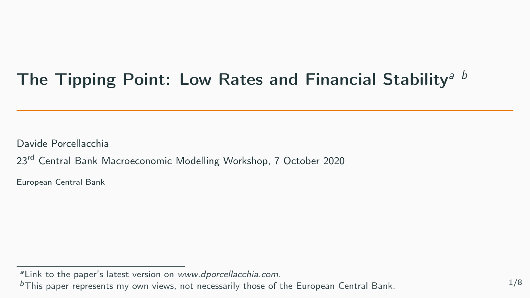# <span id="page-0-0"></span>The Tipping Point: Low Rates and Financial Stability<sup>a b</sup>

Davide Porcellacchia

23<sup>rd</sup> Central Bank Macroeconomic Modelling Workshop, 7 October 2020

European Central Bank

aLink to the paper's latest version on [www.dporcellacchia.com](http://www.dporcellacchia.com/resources/Porcellacchia_TippingPoint.pdf).

 $<sup>b</sup>$ This paper represents my own views, not necessarily those of the European Central Bank.  $1/8$ </sup>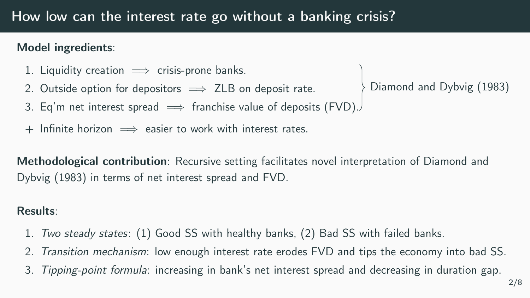### Model ingredients:

- 1. Liquidity creation  $\implies$  crisis-prone banks.
- 2. Outside option for depositors  $\implies$  ZLB on deposit rate.
- Diamond and Dybvig [\(1983\)](#page-0-0)
- 3. Eq'm net interest spread  $\implies$  franchise value of deposits (FVD).
- $+$  Infinite horizon  $\implies$  easier to work with interest rates.

Methodological contribution: Recursive setting facilitates novel interpretation of Diamond and Dybvig [\(1983\)](#page-0-0) in terms of net interest spread and FVD.

#### Results:

- 1. Two steady states: (1) Good SS with healthy banks, (2) Bad SS with failed banks.
- 2. Transition mechanism: low enough interest rate erodes FVD and tips the economy into bad SS.
- 3. Tipping-point formula: increasing in bank's net interest spread and decreasing in duration gap.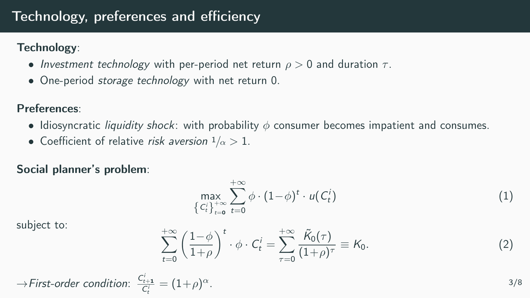## Technology, preferences and efficiency

Technology:

- Investment technology with per-period net return  $\rho > 0$  and duration  $\tau$ .
- One-period *storage technology* with net return 0.

Preferences:

- Idiosyncratic *liquidity shock*: with probability  $\phi$  consumer becomes impatient and consumes.
- Coefficient of relative risk aversion  $1/\alpha > 1$ .

Social planner's problem:

$$
\max_{\left\{C_t^i\right\}_{t=0}^{+\infty}} \sum_{t=0}^{+\infty} \phi \cdot (1-\phi)^t \cdot u(C_t^i)
$$
\n(1)

subject to:

$$
\sum_{t=0}^{+\infty} \left(\frac{1-\phi}{1+\rho}\right)^t \cdot \phi \cdot C_t^i = \sum_{\tau=0}^{+\infty} \frac{\tilde{\kappa}_0(\tau)}{(1+\rho)^\tau} \equiv K_0.
$$
 (2)

$$
\rightarrow
$$
First-order condition:  $\frac{C_{t+1}^i}{C_t^i} = (1+\rho)^{\alpha}$ .

3/8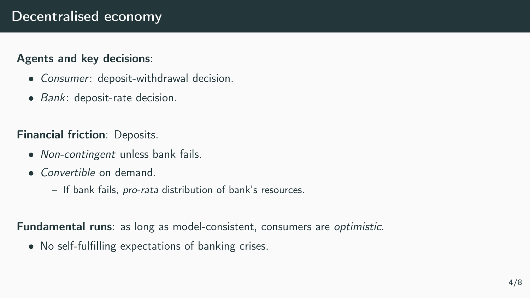## Decentralised economy

#### Agents and key decisions:

- Consumer: deposit-withdrawal decision.
- Bank: deposit-rate decision.

Financial friction: Deposits.

- Non-contingent unless bank fails.
- *Convertible* on demand.
	- If bank fails, pro-rata distribution of bank's resources.

Fundamental runs: as long as model-consistent, consumers are optimistic.

• No self-fulfilling expectations of banking crises.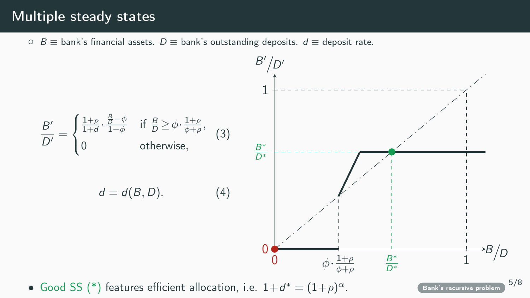### Multiple steady states

<span id="page-4-0"></span>○  $B \equiv$  bank's financial assets.  $D \equiv$  bank's outstanding deposits.  $d \equiv$  deposit rate.



• Good SS (\*) features efficient allocation, i.e.  $1+d^* = (1+\rho)$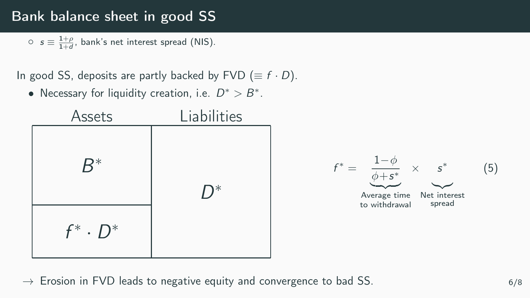## Bank balance sheet in good SS

 $\circ$   $s \equiv \frac{1+\rho}{1+d}$ , bank's net interest spread (NIS).

In good SS, deposits are partly backed by FVD ( $\equiv f \cdot D$ ).

• Necessary for liquidity creation, i.e.  $D^* > B^*$ .



 $\rightarrow$  Erosion in FVD leads to negative equity and convergence to bad SS.  $6/8$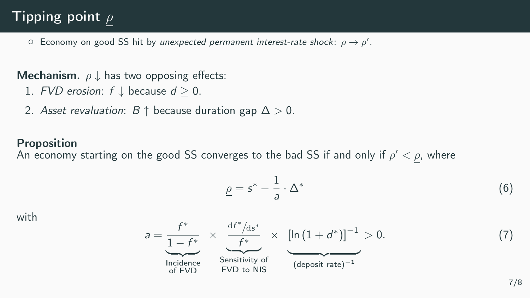# Tipping point  $\rho$

 $\circ$  Economy on good SS hit by unexpected permanent interest-rate shock:  $\rho \to \rho'$ .

**Mechanism.**  $\rho \downarrow$  has two opposing effects:

- 1. FVD erosion:  $f \downarrow$  because  $d \geq 0$ .
- 2. Asset revaluation:  $B \uparrow$  because duration gap  $\Delta > 0$ .

#### Proposition

An economy starting on the good SS converges to the bad SS if and only if  $\rho' < \rho$ , where

 $\rho=\texttt{s}^*-\frac{1}{\tau}$ 

 $\frac{1}{a} \cdot \Delta^*$ 

with

$$
a = \underbrace{\frac{f^*}{1 - f^*}}_{\text{Incidence}} \times \underbrace{\frac{df^*/ds^*}{f^*}}_{\text{Sensitivity of FVD to NIS}} \times \underbrace{\left[\ln\left(1 + d^*\right)\right]^{-1}}_{\text{(deposit rate)}^{-1}} > 0. \tag{7}
$$

(6)